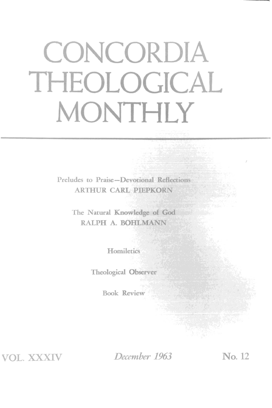# **CONCORDIA THEOLOGICAL MONTHLY**

Preludes to Praise-Devotional Reflections **ARTHUR CARL PIEPKORN** 

> The Natural Knowledge of God RALPH A. BOHLMANN

> > **Homiletics**

Theological Observer

Book Review

VOL. XXXIV

*December 1963* No. 12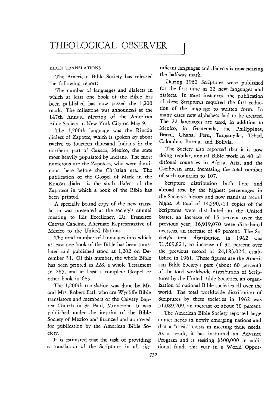#### BIBLE TRANSLATIONS

The American Bible Society has released the following report:

The number of languages and dialects in which at least one book of the Bible has been published has now passed the 1,200 mark. The milestone was announced at the 147th Annual Meeting of the American Bible Society in New York City on May 9.

The 1,200th language was the Rincón dialect of Zapotec, which is spoken by about twelve to fourteen thousand Indians in the northern part of Oaxaca, Mexico, the state most heavily populated by Indians. The most numerous are the Zapotecs, who were dominant there before the Christian era. The publication of the Gospel of Mark in the Rincón dialect is the sixth dialect of the Zapotecs in which a book of the Bible has been printed.

A specially bound copy of the new translation was presented at the society's annual meeting to His Excellency, Dr. Francisco Cuevas Cancino, Alternate Representative of Mexico to the United Nations.

The total number of languages into which at least one book of the Bible has been translated and published stood at 1,202 on December 31. Of this number, the whole Bible has been printed in 228, a whole Testament in 285, and at least a complete Gospel or other book in 689.

The 1,200th translation was done by Mr. and Mrs. Robert Earl, who are Wycliffe Bible translators and members of the Calvary Baptist Church in St. Paul, Minnesota. It was published under the imprint of the Bible Society of Mexico and financed and approved for publication by the American Bible Society.

It is estimated that the task of providing a translation of the Scriptures in all significant languages and dialects is now nearing the halfway mark.

During 1962 Scriptures were published for the first time in 22 new languages and dialects. In most instances, the publication of these Scriptures required the first reduction of the language to written form. In many cases new alphabets had to be created. The 22 languages are used, in addition to Mexico, in Guatemala, the Philippines, Brazil, Ghana, Peru, Tanganyika, Tchad, Colombia, Burma. and Bolivia.

The Society also reported that it is now doing regular, annual Bible work in 40 additional countries in Africa, Asia, and the Caribbean area, increasing the total number of such countries to 107.

Scripture distribution both here and abroad rose by the highest percentages in the Society's history and now stands at record highs. A total of 14,590,751 copies of the Scriptures were distributed in the United States, an increase of 15 percent over the previous year; 16,919,070 were distributed overseas, an increase of 49 percent. The Society's total distribution in 1962 was 31,509,821, an increase of 31 percent over the previous record of 24,183,024, established in 1961. These figures are the American Bible Society's part (about 60 percent) of the total worldwide distribution of Scriptures by the United Bible Societies, an organization of national Bible societies all over the world. The total worldwide distribution of Scriptures by these societies in 1962 was 51,089,209, an increase of about 30 percent.

The American Bible Society reported large unmet needs in newly emerging nations and that a "crisis" exists in meeting these needs. As a result, it has instituted an Advance Program and is seeking \$500,000 in additional funds this year in a WorId Oppor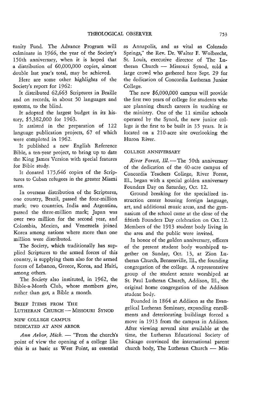tunity Fund. The Advance Program will culminate in 1966, the year of the Society's 150th anniversary, when it is hoped that a distribution of 60,000,000 copies, almost double last year's total, may be achieved.

Here are some other highlights of the Society's report for 1962:

It distributed 62,663 Scriptures in Braille and on records, in about 50 languages and systems, to the blind.

It adopted the largest budget in its history, \$5,382,000 for 1963.

It assisted in the preparation of 122 language publication projects, 67 of which were completed in 1962.

It published a new English Reference Bible, a ten-year project, to bring up to date the King James Version with special features for Bible study.

It donated 175,646 copies of the Scriptures to Cuban refugees in the greater Miami area.

In overseas distribution of the Scriptures, one country, Brazil, passed the four-million mark; two countries, India and Argentina, passed the three-million mark; Japan was over two million for the second year, and Colombia, Mexico, and Venezuela joined Korea among nations where more than one million were distributed.

The Society, which traditionally has supplied Scriptures to the armed forces of this country, is supplying them also for the armed forces of Lebanon, Greece, Korea, and Haiti, among others.

The Society also instituted, in 1962, the Bible-a-Month Club, whose members give, rather than get, a Bible a month.

BRIEF ITEMS FROM THE LUTHERAN CHURCH - MISSOURI SYNOD

#### NEW COLLEGE CAMPUS

#### DEDICATED AT ANN ARBOR

Ann Arbor, Mich. - "From the church's point of view the opening of a college like this is as basic as West Point, as essential as Annapolis, and as vital as Colorado Springs," the Rev. Dr. Walter F. Wolbrecht, St. Louis, executive director of The Lutheran Church - Missouri Synod, told a large crowd who gathered here Sept. 29 for the dedication of Concordia Lutheran Junior College.

The new \$6,000,000 campus will provide the first two years of college for students who are planning church careers in teaching or the ministry. One of the 11 similar schools operated by the Synod, the new junior college is the first to be built in 35 years. It is located on a 21O-acre site overlooking the Huron River.

# COLLEGE ANNIVERSARY

*River Forest, Ill.* - The 50th anniversary of the dedication of the 40-acre campus of Concordia Teachers College, River Forest, Ill., began with a special golden anniversary Founders Day on Saturday, Oct. 12.

Ground breaking for the specialized instruction center housing foreign language, art, and additional music areas, and the gymnasium of the school came at the close of the fiftieth Founders Day celebration on Oct. 12. Members of the 1913 student body living in the area and the public were invited.

In honor of the golden anniversary, officers of the present student body worshiped together on Sunday, Oct. 13, at Zion Lutheran Church, Bensenville, Ill., the founding congregation of the college. A representative group of the student senate worshiped at St. Paul Lutheran Church, Addison, Ill., the original home congregation of the Addison student body.

Founded in 1864 at Addison as the Evangelical Lutheran Seminary, expanding enrollments and deteriorating buildings forced a move in 1913 from the campus in Addison. After viewing several sites available at the time, the Lutheran Educational Society of Chicago convinced the international parent church body, The Lutheran Church  $-$  Mis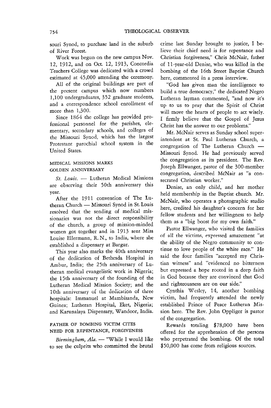souri Synod, to purchase land in the suburb of River Forest.

Work was begun on the new campus Nov. 12, 1912, and on Oct. 12, 1913, Concordia Teachers College was dedicated with a crowd estimated at 45,000 attending the ceremony.

All of the original buildings are part of the present campus which now numbers 1,100 undergraduates, 352 graduate students, and a correspondence school enrollment of more than 1,300.

Since 1864 the college has provided professional personnel for the parishes, elementary, secondary schools, and colleges of the Missouri Synod, which has the largest Protestant parochial school system in the United States.

#### MEDICAL MISSIONS MARKS GOLDEN ANNIVERSARY

*St. Louis.* - Lutheran Medical Missions are observing their 50th anniversary this year.

After the 1911 convention of The Lutheran Church - Missouri Synod in St. Louis resolved that the sending of medical missionaries was not the direct responsibility of the church, a group of mission-minded women got together and in 1913 sent Miss Louise Ellermann, R. N., to India, where she established a dispensary at Bargur.

This year also marks the 40th anniversary of the dedication of Bethesda Hospital in Ambur, India; the 25th anniversary of Lutheran medical evangelistic work in Nigeria; the 15th anniversary of the founding of the Lutheran Medical Mission Society; and the 10th anniversary of the dedication of three hospitals: Immanuel at Mambisanda, New Guinea; Lutheran Hospital, Eket, Nigeria; and Karunalaya Dispensary, Wandoor, India.

# FATHER OF BOMBING VICTIM CITES NEED FOR REPENTANCE, FORGIVENESS

*Birmingham, Ala.* - "While I would like to see the culprits who committed the brutal crime last Sunday brought to justice, I believe their chief need is for repentance and Christian forgiveness," Chris McNair, father of l1-year-old Denise, who was killed in the bombing of the 16th Street Baptist Church here, commented in a press interview.

"God has given man the intelligence to build a true democracy," the dedicated Negro Lutheran layman commented, "and now it's up to us to pray that the Spirit of Christ will move the hearts of people to act wisely. I firmly believe that the Gospel of Jesus Christ has the answer to our problems."

Mr. McNair serves as Sunday school superintendent at St. Paul Lutheran Church, a  $congregation$  of The Lutheran Church  $-$ Missouri Synod. He had previously served the congregation as its president. The Rev. Joseph Ellwanger, pastor of the 300-member congregation, described McNair as "a consecrated Christian worker."

Denise, an only child, and her mother held membership in the Baptist church. Mr. McNair, who operates a photographic studio here, credited his daughter's concern for her fellow students and her willingness to help them as a "big boost for my own faith."

Pastor Ellwanger, who visited the families of all the victims, expressed amazement "at the ability of the Negro community to continue to love people of the white race." He said the four families "accepted my Christian witness" and "evidenced no bitterness but expressed a hope rooted in a deep faith in God because they are convinced that God and righteousness are on our side."

Cynthia Wesley, 14, another bombing victim, had frequently attended the newly established Prince of Peace Lutheran Mission here. The Rev. John Oppliger is pastor of the congregation.

Rewards totaling \$78,000 have been offered for the apprehension of the persons who perpetrated the bombing. Of the total \$50,000 has come from religious sources.